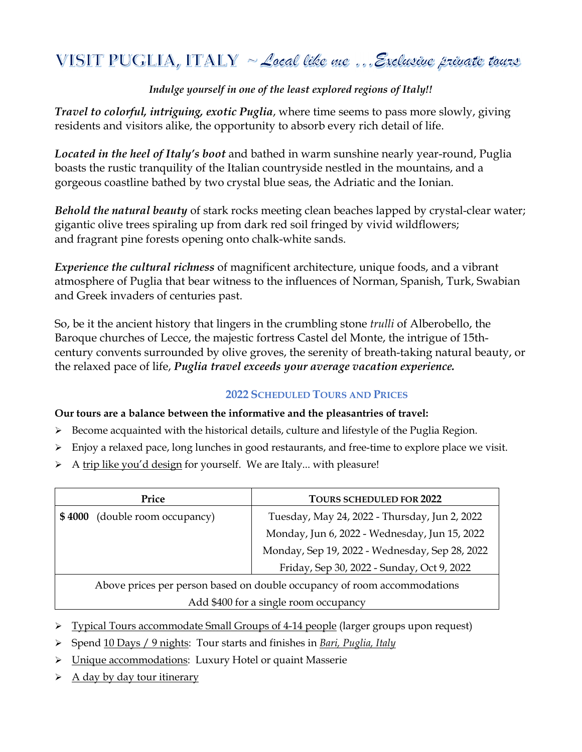# VISIT PUGLIA, ITALY  $\sim$  Local like me... Exclusive private tours

## *Indulge yourself in one of the least explored regions of Italy!!*

*Travel to colorful, intriguing, exotic Puglia*, where time seems to pass more slowly, giving residents and visitors alike, the opportunity to absorb every rich detail of life.

*Located in the heel of Italy's boot* and bathed in warm sunshine nearly year-round, Puglia boasts the rustic tranquility of the Italian countryside nestled in the mountains, and a gorgeous coastline bathed by two crystal blue seas, the Adriatic and the Ionian.

*Behold the natural beauty* of stark rocks meeting clean beaches lapped by crystal-clear water; gigantic olive trees spiraling up from dark red soil fringed by vivid wildflowers; and fragrant pine forests opening onto chalk-white sands.

*Experience the cultural richness* of magnificent architecture, unique foods, and a vibrant atmosphere of Puglia that bear witness to the influences of Norman, Spanish, Turk, Swabian and Greek invaders of centuries past.

So, be it the ancient history that lingers in the crumbling stone *trulli* of Alberobello, the Baroque churches of Lecce, the majestic fortress Castel del Monte, the intrigue of 15thcentury convents surrounded by olive groves, the serenity of breath-taking natural beauty, or the relaxed pace of life, *Puglia travel exceeds your average vacation experience.*

## **2022 SCHEDULED TOURS AND PRICES**

## **Our tours are a balance between the informative and the pleasantries of travel:**

- $\triangleright$  Become acquainted with the historical details, culture and lifestyle of the Puglia Region.
- Enjoy a relaxed pace, long lunches in good restaurants, and free-time to explore place we visit.
- $\triangleright$  A trip like you'd design for yourself. We are Italy... with pleasure!

| Price                                                                    | <b>TOURS SCHEDULED FOR 2022</b>                |
|--------------------------------------------------------------------------|------------------------------------------------|
| \$4000 (double room occupancy)                                           | Tuesday, May 24, 2022 - Thursday, Jun 2, 2022  |
|                                                                          | Monday, Jun 6, 2022 - Wednesday, Jun 15, 2022  |
|                                                                          | Monday, Sep 19, 2022 - Wednesday, Sep 28, 2022 |
|                                                                          | Friday, Sep 30, 2022 - Sunday, Oct 9, 2022     |
| Above prices per person based on double occupancy of room accommodations |                                                |

#### Add \$400 for a single room occupancy

- Typical Tours accommodate Small Groups of 4-14 people (larger groups upon request)
- Spend 10 Days / 9 nights: Tour starts and finishes in *Bari, Puglia, Italy*
- Unique accommodations: Luxury Hotel or quaint Masserie
- $\triangleright$  A day by day tour itinerary